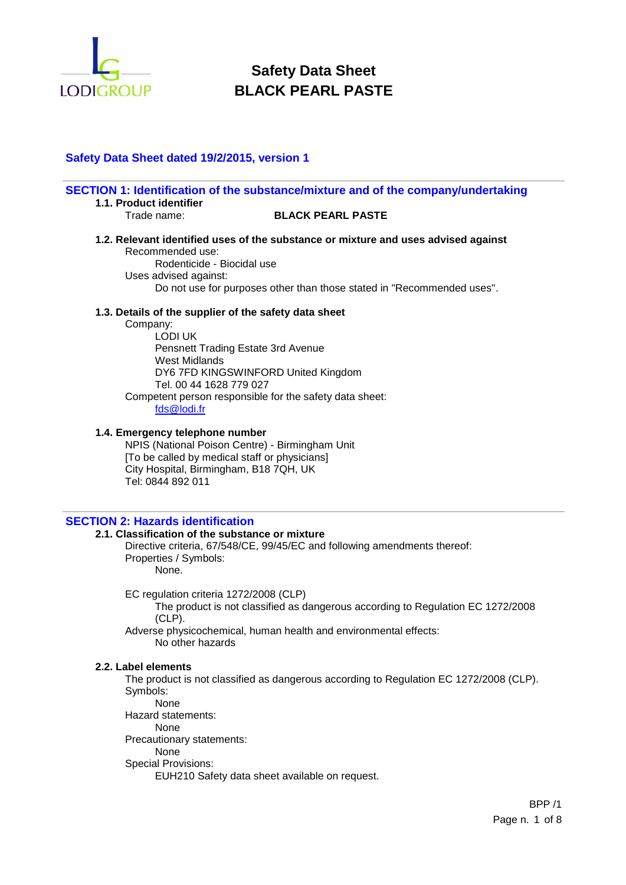

# **Safety Data Sheet dated 19/2/2015, version 1**

| 1.1. Product identifier                                                                                                                                                                                                                                                         | SECTION 1: Identification of the substance/mixture and of the company/undertaking                                                                            |
|---------------------------------------------------------------------------------------------------------------------------------------------------------------------------------------------------------------------------------------------------------------------------------|--------------------------------------------------------------------------------------------------------------------------------------------------------------|
| Trade name:                                                                                                                                                                                                                                                                     | <b>BLACK PEARL PASTE</b>                                                                                                                                     |
| Recommended use:<br>Rodenticide - Biocidal use<br>Uses advised against:                                                                                                                                                                                                         | 1.2. Relevant identified uses of the substance or mixture and uses advised against<br>Do not use for purposes other than those stated in "Recommended uses". |
| 1.3. Details of the supplier of the safety data sheet<br>Company:<br>LODI UK<br>Pensnett Trading Estate 3rd Avenue<br>West Midlands<br>DY6 7FD KINGSWINFORD United Kingdom<br>Tel. 00 44 1628 779 027<br>Competent person responsible for the safety data sheet:<br>fds@lodi.fr |                                                                                                                                                              |
| 1.4. Emergency telephone number<br>NPIS (National Poison Centre) - Birmingham Unit<br>[To be called by medical staff or physicians]<br>City Hospital, Birmingham, B18 7QH, UK<br>Tel: 0844 892 011                                                                              |                                                                                                                                                              |

## **SECTION 2: Hazards identification**

## **2.1. Classification of the substance or mixture**

Directive criteria, 67/548/CE, 99/45/EC and following amendments thereof: Properties / Symbols: None.

EC regulation criteria 1272/2008 (CLP)

The product is not classified as dangerous according to Regulation EC 1272/2008 (CLP).

Adverse physicochemical, human health and environmental effects: No other hazards

#### **2.2. Label elements**

The product is not classified as dangerous according to Regulation EC 1272/2008 (CLP). Symbols:

None Hazard statements:

None

Precautionary statements:

None

Special Provisions:

EUH210 Safety data sheet available on request.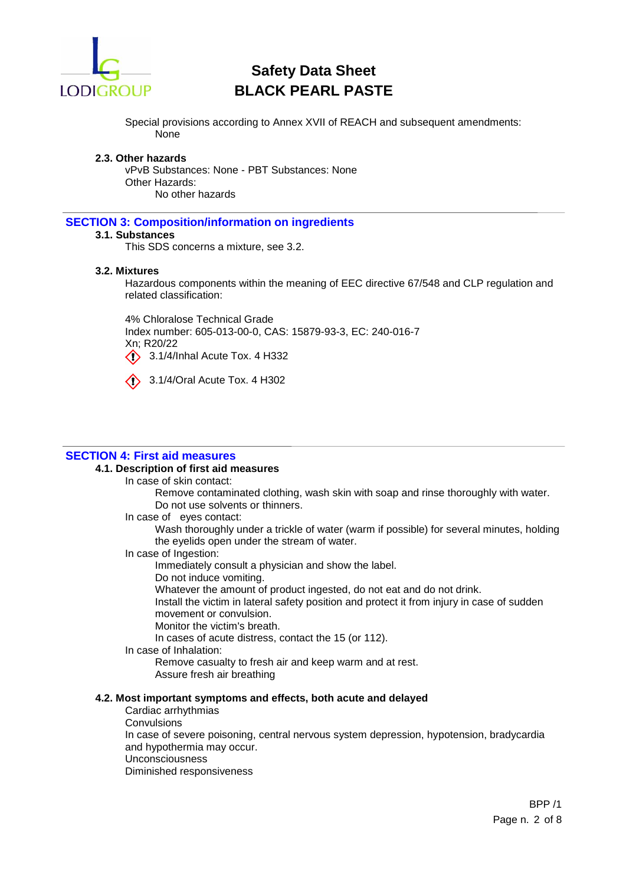

Special provisions according to Annex XVII of REACH and subsequent amendments: None

#### **2.3. Other hazards**

vPvB Substances: None - PBT Substances: None Other Hazards: No other hazards

#### **SECTION 3: Composition/information on ingredients**

## **3.1. Substances**

This SDS concerns a mixture, see 3.2.

#### **3.2. Mixtures**

Hazardous components within the meaning of EEC directive 67/548 and CLP regulation and related classification:

4% Chloralose Technical Grade Index number: 605-013-00-0, CAS: 15879-93-3, EC: 240-016-7 Xn; R20/22  $\bigcirc$  3.1/4/Inhal Acute Tox. 4 H332



 $\bigcirc$  3.1/4/Oral Acute Tox. 4 H302

#### **SECTION 4: First aid measures**

#### **4.1. Description of first aid measures**

In case of skin contact:

Remove contaminated clothing, wash skin with soap and rinse thoroughly with water. Do not use solvents or thinners.

In case of eyes contact:

Wash thoroughly under a trickle of water (warm if possible) for several minutes, holding the eyelids open under the stream of water.

In case of Ingestion:

Immediately consult a physician and show the label.

Do not induce vomiting.

Whatever the amount of product ingested, do not eat and do not drink.

Install the victim in lateral safety position and protect it from injury in case of sudden movement or convulsion.

Monitor the victim's breath.

In cases of acute distress, contact the 15 (or 112).

In case of Inhalation:

Remove casualty to fresh air and keep warm and at rest.

Assure fresh air breathing

### **4.2. Most important symptoms and effects, both acute and delayed**

- Cardiac arrhythmias
- **Convulsions**

In case of severe poisoning, central nervous system depression, hypotension, bradycardia and hypothermia may occur.

Unconsciousness

Diminished responsiveness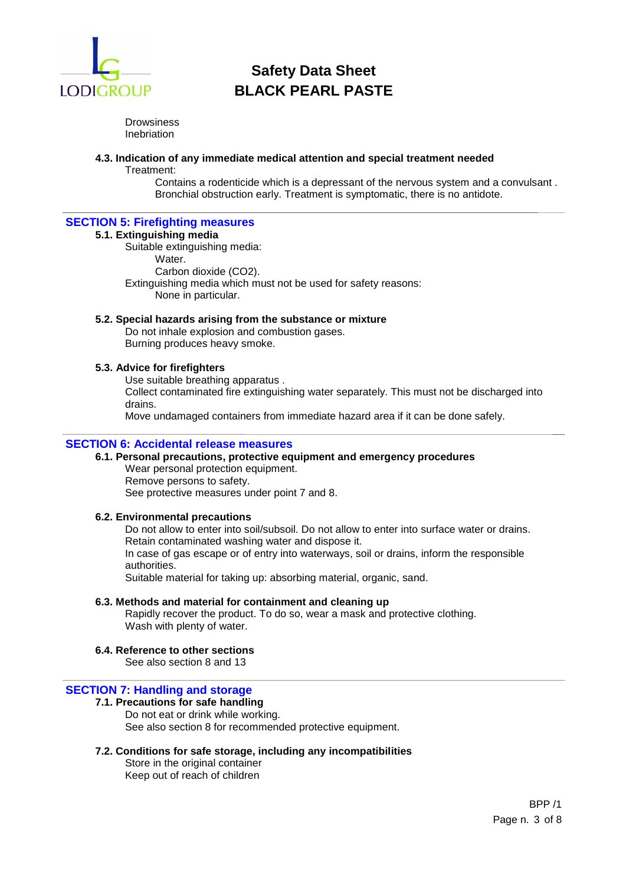

**Drowsiness** Inebriation

#### **4.3. Indication of any immediate medical attention and special treatment needed**

Treatment:

Contains a rodenticide which is a depressant of the nervous system and a convulsant . Bronchial obstruction early. Treatment is symptomatic, there is no antidote.

## **SECTION 5: Firefighting measures**

#### **5.1. Extinguishing media**

Suitable extinguishing media: Water. Carbon dioxide (CO2). Extinguishing media which must not be used for safety reasons: None in particular.

#### **5.2. Special hazards arising from the substance or mixture**

Do not inhale explosion and combustion gases. Burning produces heavy smoke.

### **5.3. Advice for firefighters**

Use suitable breathing apparatus .

Collect contaminated fire extinguishing water separately. This must not be discharged into drains.

Move undamaged containers from immediate hazard area if it can be done safely.

## **SECTION 6: Accidental release measures**

#### **6.1. Personal precautions, protective equipment and emergency procedures** Wear personal protection equipment. Remove persons to safety. See protective measures under point 7 and 8.

#### **6.2. Environmental precautions**

Do not allow to enter into soil/subsoil. Do not allow to enter into surface water or drains. Retain contaminated washing water and dispose it. In case of gas escape or of entry into waterways, soil or drains, inform the responsible authorities.

Suitable material for taking up: absorbing material, organic, sand.

#### **6.3. Methods and material for containment and cleaning up**

Rapidly recover the product. To do so, wear a mask and protective clothing. Wash with plenty of water.

## **6.4. Reference to other sections**

See also section 8 and 13

## **SECTION 7: Handling and storage**

## **7.1. Precautions for safe handling**

Do not eat or drink while working. See also section 8 for recommended protective equipment.

#### **7.2. Conditions for safe storage, including any incompatibilities**

Store in the original container Keep out of reach of children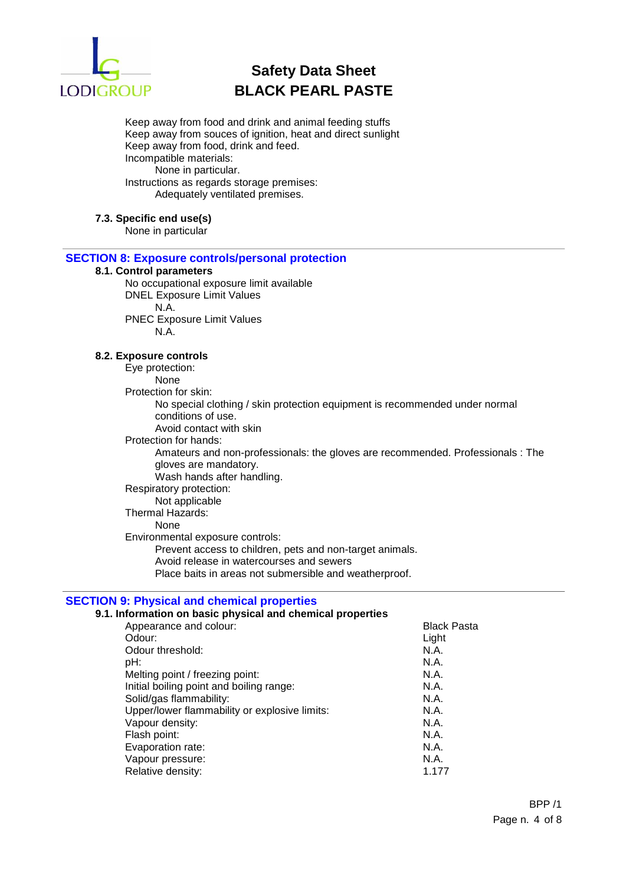

Keep away from food and drink and animal feeding stuffs Keep away from souces of ignition, heat and direct sunlight Keep away from food, drink and feed. Incompatible materials: None in particular. Instructions as regards storage premises: Adequately ventilated premises.

#### **7.3. Specific end use(s)**

None in particular

### **SECTION 8: Exposure controls/personal protection**

## **8.1. Control parameters**

No occupational exposure limit available DNEL Exposure Limit Values N.A. PNEC Exposure Limit Values N.A.

#### **8.2. Exposure controls**

Eye protection: None Protection for skin: No special clothing / skin protection equipment is recommended under normal conditions of use. Avoid contact with skin Protection for hands: Amateurs and non-professionals: the gloves are recommended. Professionals : The gloves are mandatory. Wash hands after handling. Respiratory protection: Not applicable Thermal Hazards: None Environmental exposure controls: Prevent access to children, pets and non-target animals. Avoid release in watercourses and sewers Place baits in areas not submersible and weatherproof.

## **SECTION 9: Physical and chemical properties**

#### **9.1. Information on basic physical and chemical properties**

| <b>Black Pasta</b> |
|--------------------|
| Light              |
| N.A.               |
| N.A.               |
| N.A.               |
| N.A.               |
| N.A.               |
| N.A.               |
| N.A.               |
| N.A.               |
| N.A.               |
| N.A.               |
| 1.177              |
|                    |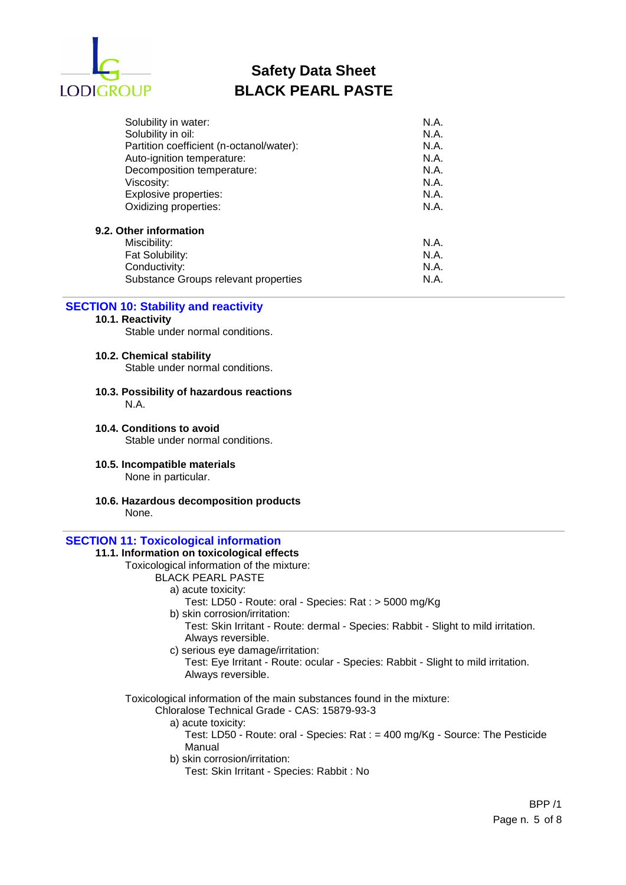

| Solubility in water:                     | N.A. |
|------------------------------------------|------|
| Solubility in oil:                       | N.A. |
| Partition coefficient (n-octanol/water): | N.A. |
| Auto-ignition temperature:               | N.A. |
| Decomposition temperature:               | N.A. |
| Viscosity:                               | N.A. |
| Explosive properties:                    | N.A. |
| Oxidizing properties:                    | N.A. |
| 9.2. Other information                   |      |
| Miscibility:                             | N.A. |
| Fat Solubility:                          | N.A. |
| Conductivity:                            | N.A. |
| Substance Groups relevant properties     | N.A. |

# **SECTION 10: Stability and reactivity**

#### **10.1. Reactivity**

Stable under normal conditions.

## **10.2. Chemical stability**

Stable under normal conditions.

- **10.3. Possibility of hazardous reactions** N.A.
- **10.4. Conditions to avoid** Stable under normal conditions.
- **10.5. Incompatible materials** None in particular.
- **10.6. Hazardous decomposition products** None.

## **SECTION 11: Toxicological information**

## **11.1. Information on toxicological effects**

# Toxicological information of the mixture:

## BLACK PEARL PASTE

- a) acute toxicity:
	- Test: LD50 Route: oral Species: Rat : > 5000 mg/Kg
- b) skin corrosion/irritation: Test: Skin Irritant - Route: dermal - Species: Rabbit - Slight to mild irritation. Always reversible.
- c) serious eye damage/irritation: Test: Eye Irritant - Route: ocular - Species: Rabbit - Slight to mild irritation. Always reversible.

Toxicological information of the main substances found in the mixture:

- Chloralose Technical Grade CAS: 15879-93-3
	- a) acute toxicity:
		- Test: LD50 Route: oral Species: Rat : = 400 mg/Kg Source: The Pesticide Manual
	- b) skin corrosion/irritation:
		- Test: Skin Irritant Species: Rabbit : No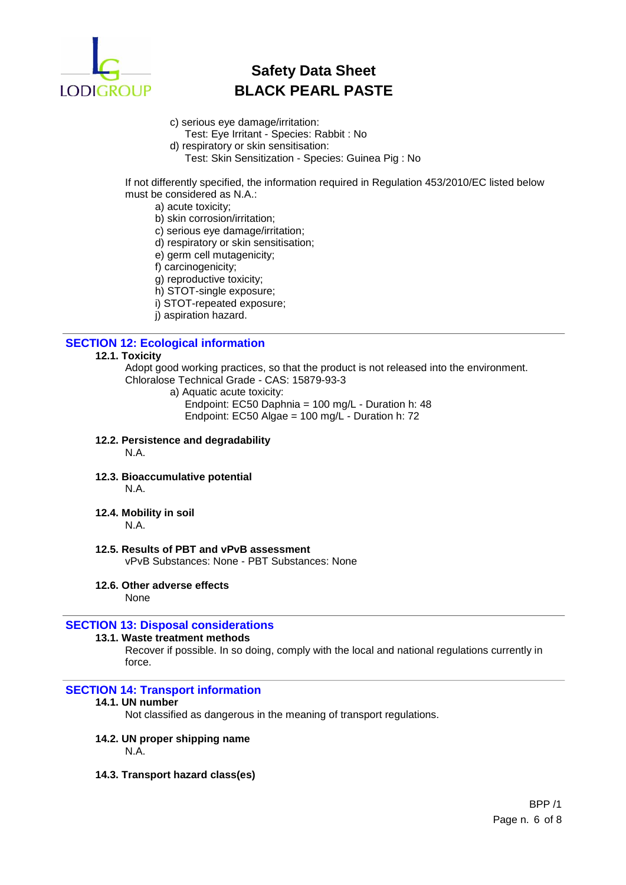

- c) serious eye damage/irritation: Test: Eye Irritant - Species: Rabbit : No
- d) respiratory or skin sensitisation:
	- Test: Skin Sensitization Species: Guinea Pig : No

If not differently specified, the information required in Regulation 453/2010/EC listed below must be considered as N.A.:

- a) acute toxicity;
- b) skin corrosion/irritation;
- c) serious eye damage/irritation;
- d) respiratory or skin sensitisation;
- e) germ cell mutagenicity;
- f) carcinogenicity;
- g) reproductive toxicity;
- h) STOT-single exposure;
- i) STOT-repeated exposure;
- j) aspiration hazard.

## **SECTION 12: Ecological information**

## **12.1. Toxicity**

Adopt good working practices, so that the product is not released into the environment. Chloralose Technical Grade - CAS: 15879-93-3

- a) Aquatic acute toxicity: Endpoint: EC50 Daphnia = 100 mg/L - Duration h: 48
	- Endpoint: EC50 Algae = 100 mg/L Duration h: 72
- **12.2. Persistence and degradability**

N.A.

- **12.3. Bioaccumulative potential** N.A.
- **12.4. Mobility in soil**
	- N.A.

# **12.5. Results of PBT and vPvB assessment**

vPvB Substances: None - PBT Substances: None

**12.6. Other adverse effects**

None

## **SECTION 13: Disposal considerations**

### **13.1. Waste treatment methods**

Recover if possible. In so doing, comply with the local and national regulations currently in force.

## **SECTION 14: Transport information**

## **14.1. UN number**

Not classified as dangerous in the meaning of transport regulations.

## **14.2. UN proper shipping name**

N.A.

**14.3. Transport hazard class(es)**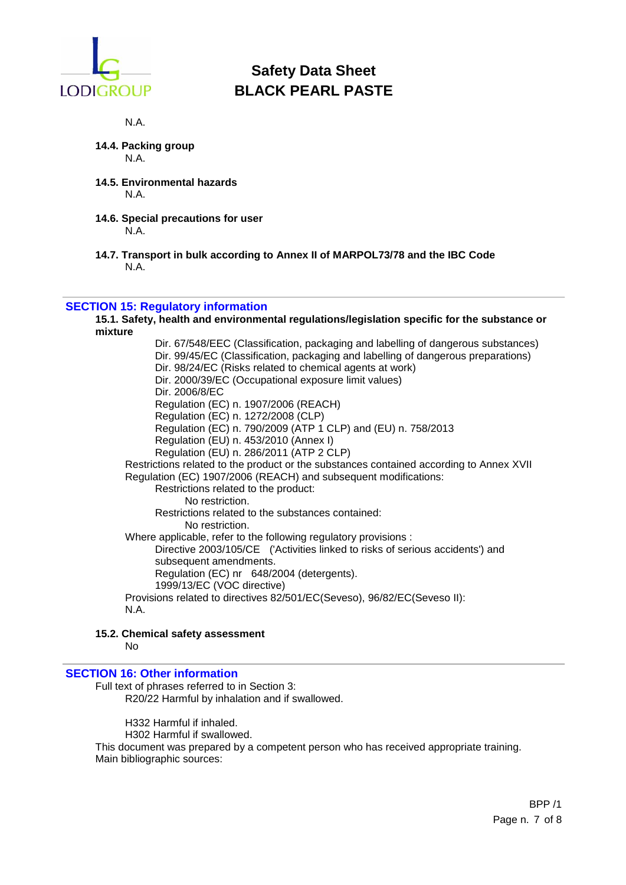

N.A.

- **14.4. Packing group** N.A.
- **14.5. Environmental hazards** N.A.
- **14.6. Special precautions for user** N.A.
- **14.7. Transport in bulk according to Annex II of MARPOL73/78 and the IBC Code** N.A.

## **SECTION 15: Regulatory information**

**15.1. Safety, health and environmental regulations/legislation specific for the substance or mixture**

Dir. 67/548/EEC (Classification, packaging and labelling of dangerous substances) Dir. 99/45/EC (Classification, packaging and labelling of dangerous preparations) Dir. 98/24/EC (Risks related to chemical agents at work) Dir. 2000/39/EC (Occupational exposure limit values) Dir. 2006/8/EC Regulation (EC) n. 1907/2006 (REACH) Regulation (EC) n. 1272/2008 (CLP) Regulation (EC) n. 790/2009 (ATP 1 CLP) and (EU) n. 758/2013 Regulation (EU) n. 453/2010 (Annex I) Regulation (EU) n. 286/2011 (ATP 2 CLP) Restrictions related to the product or the substances contained according to Annex XVII Regulation (EC) 1907/2006 (REACH) and subsequent modifications: Restrictions related to the product: No restriction. Restrictions related to the substances contained: No restriction. Where applicable, refer to the following regulatory provisions : Directive 2003/105/CE ('Activities linked to risks of serious accidents') and subsequent amendments. Regulation (EC) nr 648/2004 (detergents). 1999/13/EC (VOC directive) Provisions related to directives 82/501/EC(Seveso), 96/82/EC(Seveso II): N.A.

## **15.2. Chemical safety assessment**

No

## **SECTION 16: Other information**

Full text of phrases referred to in Section 3: R20/22 Harmful by inhalation and if swallowed.

H332 Harmful if inhaled. H302 Harmful if swallowed. This document was prepared by a competent person who has received appropriate training. Main bibliographic sources: